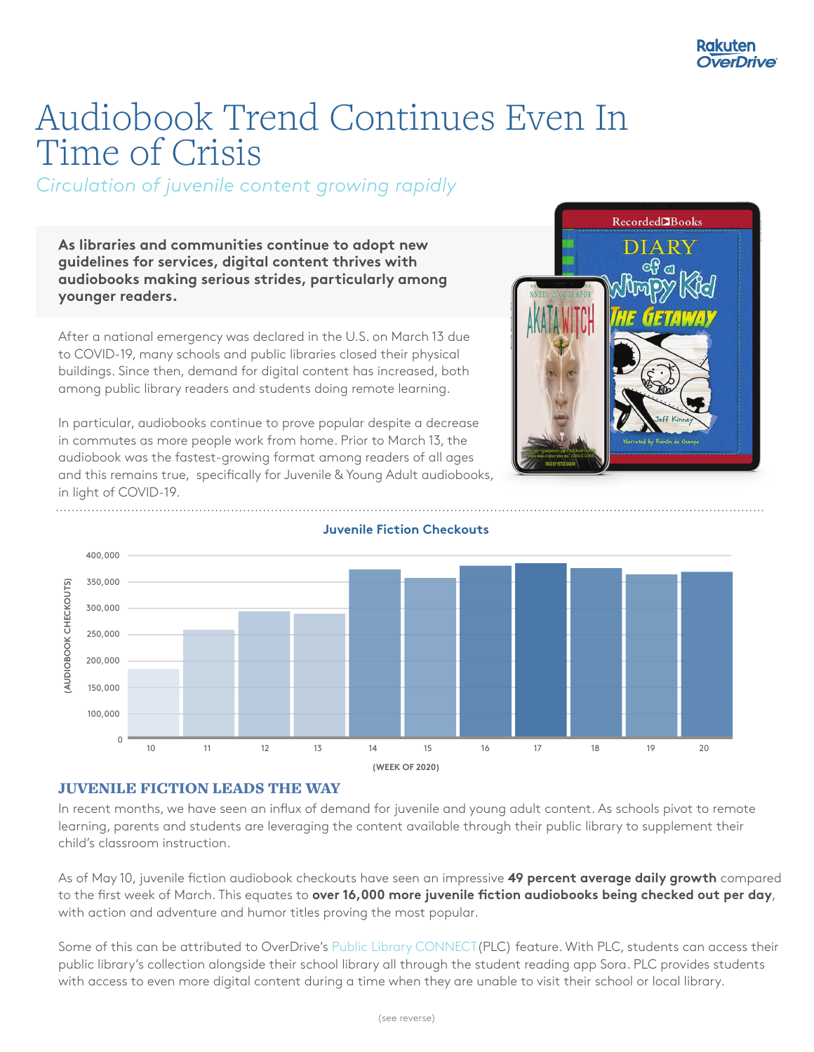# Audiobook Trend Continues Even In Time of Crisis

*Circulation of juvenile content growing rapidly*

**As libraries and communities continue to adopt new guidelines for services, digital content thrives with audiobooks making serious strides, particularly among younger readers.** 

After a national emergency was declared in the U.S. on March 13 due to COVID-19, many schools and public libraries closed their physical buildings. Since then, demand for digital content has increased, both among public library readers and students doing remote learning.

In particular, audiobooks continue to prove popular despite a decrease in commutes as more people work from home. Prior to March 13, the audiobook was the fastest-growing format among readers of all ages and this remains true, specifically for Juvenile & Young Adult audiobooks, in light of COVID-19.





#### **Juvenile Fiction Checkouts**

# JUVENILE FICTION LEADS THE WAY

In recent months, we have seen an influx of demand for juvenile and young adult content. As schools pivot to remote learning, parents and students are leveraging the content available through their public library to supplement their child's classroom instruction.

As of May 10, juvenile fiction audiobook checkouts have seen an impressive **49 percent average daily growth** compared to the first week of March. This equates to **over 16,000 more juvenile fiction audiobooks being checked out per day**, with action and adventure and humor titles proving the most popular.

Some of this can be attributed to OverDrive's Public Library CONNECT(PLC) feature. With PLC, students can access their public library's collection alongside their school library all through the student reading app Sora. PLC provides students with access to even more digital content during a time when they are unable to visit their school or local library.